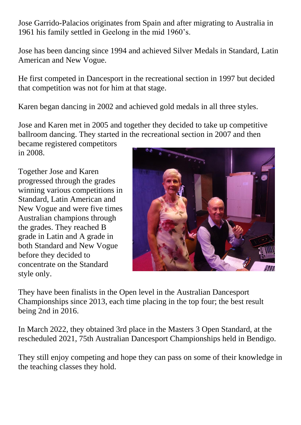Jose Garrido-Palacios originates from Spain and after migrating to Australia in 1961 his family settled in Geelong in the mid 1960's.

Jose has been dancing since 1994 and achieved Silver Medals in Standard, Latin American and New Vogue.

He first competed in Dancesport in the recreational section in 1997 but decided that competition was not for him at that stage.

Karen began dancing in 2002 and achieved gold medals in all three styles.

Jose and Karen met in 2005 and together they decided to take up competitive ballroom dancing. They started in the recreational section in 2007 and then

became registered competitors in 2008.

Together Jose and Karen progressed through the grades winning various competitions in Standard, Latin American and New Vogue and were five times Australian champions through the grades. They reached B grade in Latin and A grade in both Standard and New Vogue before they decided to concentrate on the Standard style only.



They have been finalists in the Open level in the Australian Dancesport Championships since 2013, each time placing in the top four; the best result being 2nd in 2016.

In March 2022, they obtained 3rd place in the Masters 3 Open Standard, at the rescheduled 2021, 75th Australian Dancesport Championships held in Bendigo.

They still enjoy competing and hope they can pass on some of their knowledge in the teaching classes they hold.